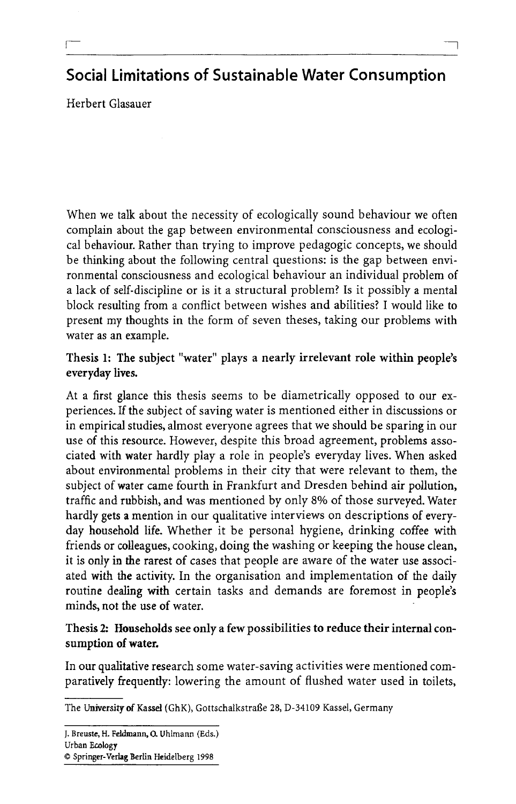## **Social Limitations of Sustainable Water Consumption**

Herbert Glasauer

When we talk about the necessity of ecologically sound behaviour we often complain about the gap between environmental consciousness and ecological behaviour. Rather than trying to improve pedagogic concepts, we should be thinking about the following central questions: is the gap between environmental consciousness and ecological behaviour an individual problem of a lack of self-discipline or is it a structural problem? Is it possibly a mental block resulting from a conflict between wishes and abilities? I would like to present my thoughts in the form of seven theses, taking our problems with water as an example.

## Thesis 1: The subject "water" plays a nearly irrelevant role within people's everyday lives.

At a first glance this thesis seems to be diametrically opposed to our experiences. If the subject of saving water is mentioned either in discussions or in empirical studies, almost everyone agrees that we should be sparing in our use of this resource. However, despite this broad agreement, problems associated with water hardly play a role in people's everyday lives. When asked about environmental problems in their city that were relevant to them, the subject of water came fourth in Frankfurt and Dresden behind air pollution, traffic and rubbish, and was mentioned by only 8% of those surveyed. Water hardly gets a mention in our qualitative interviews on descriptions of everyday household life. Whether it be personal hygiene, drinking coffee with friends or colleagues, cooking, doing the washing or keeping the house clean, it is only in the rarest of cases that people are aware of the water use associated with the activity. In the organisation and implementation of the daily routine dealing with certain tasks and demands are foremost in people's minds, not the use of water.

## Thesis 2: Households see only a few possibilities to reduce their internal consumption of water.

In our qualitative research some water-saving activities were mentioned comparatively frequently: lowering the amount of flushed water used in toilets,

Urban Ecology

The University of Kassel (GhK), GottschalkstraBe 28, D-34109 Kassel, Germany

J. Breuste, H. Feldmann, O. Uhlmann (Eds.)

<sup>©</sup> Springer-Verlag BerlinHeidelberg 1998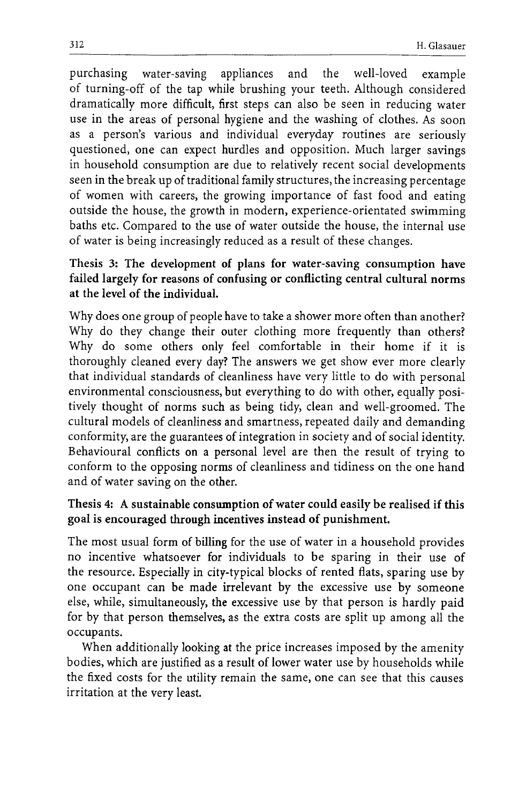purchasing water-saving appliances and the well-loved example of turning-off of the tap while brushing your teeth. Although considered dramatically more difficult, first steps can also be seen in reducing water use in the areas of personal hygiene and the washing of clothes. As soon as a person's various and individual everyday routines are seriously questioned, one can expect hurdles and opposition. Much larger savings in household consumption are due to relatively recent social developments seen in the break up of traditional family structures, the increasing percentage of women with careers, the growing importance of fast food and eating outside the house, the growth in modern, experience-orientated swimming baths etc. Compared to the use of water outside the house, the internal use of water is being increasingly reduced as a result of these changes.

Thesis 3: The development of plans for water-saving consumption have failed largely for reasons of confusing or conflicting central cultural norms at the level of the individual.

Why does one group of people have to take a shower more often than another? Why do they change their outer clothing more frequently than others? Why do some others only feel comfortable in their home if it is thoroughly cleaned every day? The answers we get show ever more clearly that individual standards of cleanliness have very little to do with personal environmental consciousness, but everything to do with other, equally positively thought of norms such as being tidy, clean and well-groomed. The cultural models of cleanliness and smartness, repeated daily and demanding conformity, are the guarantees of integration in society and of social identity. Behavioural conflicts on a personal level are then the result of trying to conform to the opposing norms of cleanliness and tidiness on the one hand and of water saving on the other.

## Thesis 4: A sustainable consumption of water could easily be realised if this goal is encouraged through incentives instead of punishment.

The most usual form of billing for the use of water in a household provides no incentive whatsoever for individuals to be sparing in their use of the resource. Especially in city-typical blocks of rented flats, sparing use by one occupant can be made irrelevant by the excessive use by someone else, while, simultaneously, the excessive use by that person is hardly paid for by that person themselves, as the extra costs are split up among all the occupants.

When additionally looking at the price increases imposed by the amenity bodies, which are justified as a result of lower water use by households while the fixed costs for the utility remain the same, one can see that this causes irritation at the very least.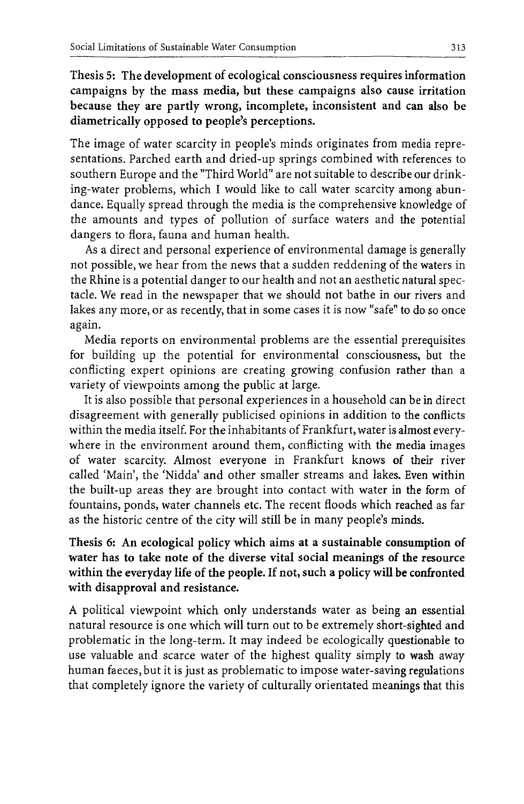Thesis 5: The development of ecological consciousness requires information campaigns by the mass media, but these campaigns also cause irritation because they are partly wrong, incomplete, inconsistent and can also be diametrically opposed to people's perceptions.

The image of water scarcity in people's minds originates from media representations. Parched earth and dried-up springs combined with references to southern Europe and the "Third World" are not suitable to describe our drinking-water problems, which I would like to call water scarcity among abundance. Equally spread through the media is the comprehensive knowledge of the amounts and types of pollution of surface waters and the potential dangers to flora, fauna and human health.

As a direct and personal experience of environmental damage is generally not possible, we hear from the news that a sudden reddening of the waters in the Rhine is a potential danger to our health and not an aesthetic natural spectacle. We read in the newspaper that we should not bathe in our rivers and lakes any more, or as recently, that in some cases it is now "safe" to do so once again.

Media reports on environmental problems are the essential prerequisites for building up the potential for environmental consciousness, but the conflicting expert opinions are creating growing confusion rather than a variety of viewpoints among the public at large.

It is also possible that personal experiences in a household can be in direct disagreement with generally publicised opinions in addition to the conflicts within the media itself. For the inhabitants of Frankfurt, water is almost everywhere in the environment around them, conflicting with the media images of water scarcity. Almost everyone in Frankfurt knows of their river called 'Main', the 'Nidda' and other smaller streams and lakes. Even within the built-up areas they are brought into contact with water in the form of fountains, ponds, water channels etc. The recent floods which reached as far as the historic centre of the city will still be in many people's minds.

Thesis 6: An ecological policy which aims at a sustainable consumption of water has to take note of the diverse vital social meanings of the resource within the everyday life of the people. If not, such a policy will be confronted with disapproval and resistance.

A political viewpoint which only understands water as being an essential natural resource is one which will turn out to be extremely short-sighted and problematic in the long-term. It may indeed be ecologically questionable to use valuable and scarce water of the highest quality simply to wash away human faeces, but it is just as problematic to impose water-saving regulations that completely ignore the variety of culturally orientated meanings that this